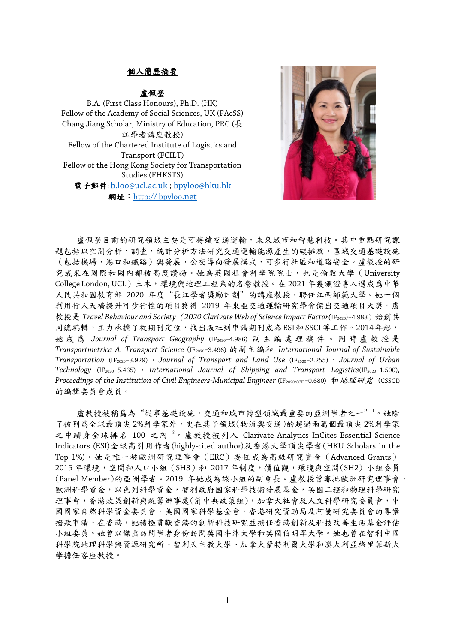## 個人簡歷摘要

## 盧佩瑩

B.A. (First Class Honours), Ph.D. (HK) Fellow of the Academy of Social Sciences, UK (FAcSS) Chang Jiang Scholar, Ministry of Education, PRC (長 江學者講座教授) Fellow of the Chartered Institute of Logistics and Transport (FCILT) Fellow of the Hong Kong Society for Transportation Studies (FHKSTS) 電子郵件: [b.loo@ucl.ac.uk](mailto:b.loo@ucl.ac.uk) ; [bpyloo@hku.hk](mailto:bpyloo@hku.hk) 網址:http:// bpyloo.net



慮佩瑩目前的研究領域主要是可持續交通運輸,未來城市和智慧科技。其中重點研究課 題包括以空間分析,調查,統計分析方法研究交通運輸能源產生的碳排放,區域交通基礎設施 (包括機場,港口和鐵路)與發展,公交導向發展模式,可步行社區和道路安全。盧教授的研 究成果在國際和國內都被高度讚揚。她為英國社會科學院院士,也是倫敦大學(University College London, UCL)土木,環境與地理工程系的名譽教授。在 2021 年獲頒證書入選成爲中華 人民共和國教育部 2020 年度"長江學者獎勵計劃"的講座教授,聘任江西師範大學。她一個 利用行人天橋提升可步行性的項目獲得 2019 年東亞交通運輸研究學會傑出交通項目大獎。盧 教授是 *Travel Behaviour and Society*(*2020 Clarivate Web of Science Impact Factor(*IF2020)=4.983)始創共 同總編輯。主力承擔了從期刊定位,找出版社到申請期刊成為ESI和SSCI等工作。2014年起, 她 成 爲 *Journal of Transport Geography* (IF2020=4.986) 副 主 編處理稿件。 同 時 盧 教 授 是 *Transportmetrica A: Transport Science* (IF2020=3.496) 的副主編和 *International Journal of Sustainable Transportation* (IF2020=3.929) , *Journal of Transport and Land Use* (IF2020=2.255) , *Journal of Urban Technology* (IF2020=5.465) , *International Journal of Shipping and Transport Logistics*(IF2020=1.500)*, Proceedings of the Institution of Civil Engineers-Municipal Engineer* (IF<sub>2020/SCIE=0.680) 和地理研究 (CSSCI)</sub> 的編輯委員會成員。

盧教授被稱爲為"從事基礎設施,交通和城市轉型領域最重要的亞洲學者之一"<sup>1</sup>。她除 了被列爲全球最頂尖 2%科學家外,更在其子領域(物流與交通)的超過兩萬個最頂尖 2%科學家 之中躋身全球排名 100 之內 <sup>2</sup>。盧教授被列入 Clarivate Analytics InCites Essential Science Indicators (ESI)全球高引用作者(highly-cited author)及香港大學頂尖學者(HKU Scholars in the Top 1%)。她是唯一被歐洲研究理事會(ERC)委任成為高級研究資金(Advanced Grants) 2015 年環境,空間和人口小組 (SH3) 和 2017 年制度,價值觀,環境與空間(SH2) 小組委員 (Panel Member)的亞洲學者。2019 年她成為該小組的副會長。盧教授曾審批歐洲研究理事會, 歐洲科學資金,以色列科學資金,智利政府國家科學技術發展基金,英國工程和物理科學研究 理事會,香港政策創新與統籌辦事處(前中央政策組),加拿大社會及人文科學研究委員會,中 國國家自然科學資金委員會,美國國家科學基金會,香港研究資助局及阿曼研究委員會的專案 撥款申請。在香港,她積極貢獻香港的創新科技研究並擔任香港創新及科技改善生活基金評估 小組委員。她曾以傑出訪問學者身份訪問英國牛津大學和英國伯明罕大學。她也曾在智利中國 科學院地理科學與資源研究所、智利天主教大學、加拿大蒙特利爾大學和澳大利亞格里菲斯大 學擔任客座教授。